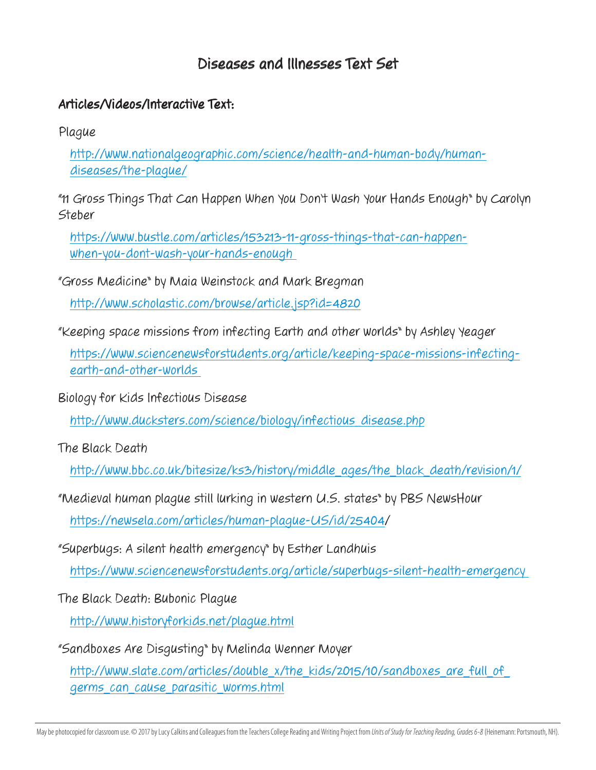## Diseases and Illnesses Text Set

## Articles/Videos/Interactive Text:

Plague

[http://www.nationalgeographic.com/science/health-and-human-body/human](http://www.nationalgeographic.com/science/health-and-human-body/human-diseases/the-plague/)[diseases/the-plague/](http://www.nationalgeographic.com/science/health-and-human-body/human-diseases/the-plague/)

"11 Gross Things That Can Happen When You Don't Wash Your Hands Enough" by Carolyn Steber

[https://www.bustle.com/articles/153213-11-gross-things-that-can-happen](https://www.bustle.com/articles/153213-11-gross-things-that-can-happen-when-you-dont-wash-your-hands-enough )[when-you-dont-wash-your-hands-enough](https://www.bustle.com/articles/153213-11-gross-things-that-can-happen-when-you-dont-wash-your-hands-enough ) 

"Gross Medicine" by Maia Weinstock and Mark Bregman

<http://www.scholastic.com/browse/article.jsp?id=4820>

"Keeping space missions from infecting Earth and other worlds" by Ashley Yeager

[https://www.sciencenewsforstudents.org/article/keeping-space-missions-infecting](https://www.sciencenewsforstudents.org/article/keeping-space-missions-infecting-earth-and-other-worlds )[earth-and-other-worlds](https://www.sciencenewsforstudents.org/article/keeping-space-missions-infecting-earth-and-other-worlds ) 

Biology for Kids Infectious Disease

[http://www.ducksters.com/science/biology/infectious\\_disease.php](http://www.ducksters.com/science/biology/infectious_disease.php)

The Black Death

[http://www.bbc.co.uk/bitesize/ks3/history/middle\\_ages/the\\_black\\_death/revision/1/](http://www.bbc.co.uk/bitesize/ks3/history/middle_ages/the_black_death/revision/1/)

"Medieval human plague still lurking in western U.S. states" by PBS NewsHour <https://newsela.com/articles/human-plague-US/id/25404>/

"Superbugs: A silent health emergency" by Esther Landhuis

[https://www.sciencenewsforstudents.org/article/superbugs-silent-health-emergency](https://www.sciencenewsforstudents.org/article/superbugs-silent-health-emergency ) 

The Black Death: Bubonic Plague

<http://www.historyforkids.net/plague.html>

"Sandboxes Are Disgusting" by Melinda Wenner Moyer

http://www.slate.com/articles/double\_x/the\_kids/2015/10/sandboxes\_are\_full\_of [germs\\_can\\_cause\\_parasitic\\_worms.html](http://www.slate.com/articles/double_x/the_kids/2015/10/sandboxes_are_full_of_germs_can_cause_parasitic_worms.html)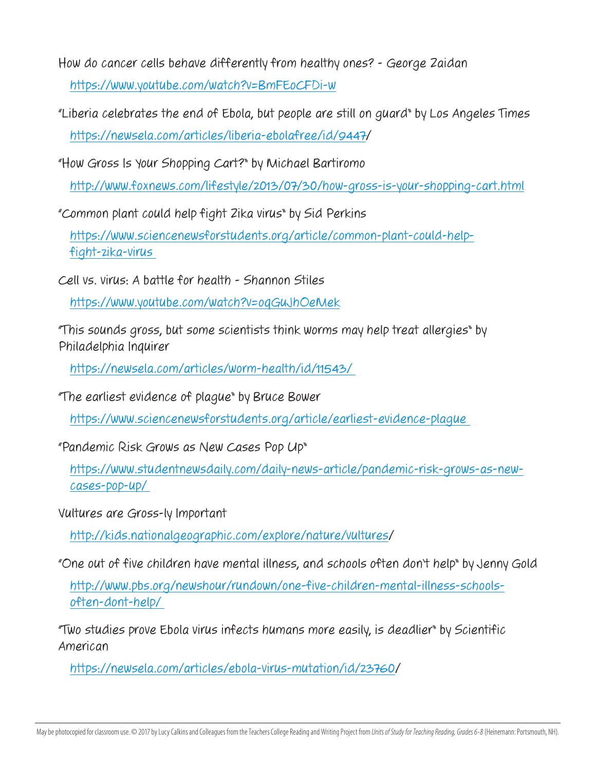- How do cancer cells behave differently from healthy ones? George Zaidan <https://www.youtube.com/watch?v=BmFEoCFDi-w>
- "Liberia celebrates the end of Ebola, but people are still on guard" by Los Angeles Times [https://newsela.com/articles/liberia-ebolafree/id/9447/](https://newsela.com/articles/liberia-ebolafree/id/9447)
- "How Gross Is Your Shopping Cart?" by Michael Bartiromo

<http://www.foxnews.com/lifestyle/2013/07/30/how-gross-is-your-shopping-cart.html>

"Common plant could help fight Zika virus" by Sid Perkins

[https://www.sciencenewsforstudents.org/article/common-plant-could-help](https://www.sciencenewsforstudents.org/article/common-plant-could-help-fight-zika-virus )[fight-zika-virus](https://www.sciencenewsforstudents.org/article/common-plant-could-help-fight-zika-virus ) 

Cell vs. virus: A battle for health - Shannon Stiles

<https://www.youtube.com/watch?v=oqGuJhOeMek>

"This sounds gross, but some scientists think worms may help treat allergies" by Philadelphia Inquirer

<https://newsela.com/articles/worm-health/id/11543>/

"The earliest evidence of plague" by Bruce Bower

[https://www.sciencenewsforstudents.org/article/earliest-evidence-plague](https://www.sciencenewsforstudents.org/article/earliest-evidence-plague ) 

"Pandemic Risk Grows as New Cases Pop Up"

[https://www.studentnewsdaily.com/daily-news-article/pandemic-risk-grows-as-new](https://www.studentnewsdaily.com/daily-news-article/pandemic-risk-grows-as-new-cases-pop-up/ )[cases-pop-up/](https://www.studentnewsdaily.com/daily-news-article/pandemic-risk-grows-as-new-cases-pop-up/ ) 

Vultures are Gross-ly Important

<http://kids.nationalgeographic.com/explore/nature/vultures>/

"One out of five children have mental illness, and schools often don't help" by Jenny Gold

[http://www.pbs.org/newshour/rundown/one-five-children-mental-illness-schools](http://www.pbs.org/newshour/rundown/one-five-children-mental-illness-schools-often-dont-help/ )[often-dont-help/](http://www.pbs.org/newshour/rundown/one-five-children-mental-illness-schools-often-dont-help/ ) 

"Two studies prove Ebola virus infects humans more easily, is deadlier" by Scientific American

[https://newsela.com/articles/ebola-virus-mutation/id/23760/](https://newsela.com/articles/ebola-virus-mutation/id/23760)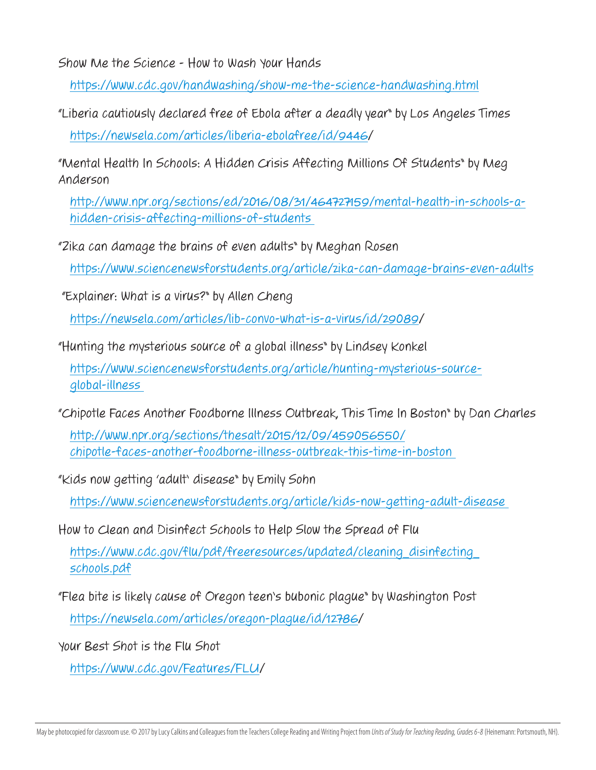Show Me the Science - How to Wash Your Hands

<https://www.cdc.gov/handwashing/show-me-the-science-handwashing.html>

"Liberia cautiously declared free of Ebola after a deadly year" by Los Angeles Times [https://newsela.com/articles/liberia-ebolafree/id/9446/](https://newsela.com/articles/liberia-ebolafree/id/9446)

"Mental Health In Schools: A Hidden Crisis Affecting Millions Of Students" by Meg Anderson

[http://www.npr.org/sections/ed/2016/08/31/464727159/mental-health-in-schools-a](http://www.npr.org/sections/ed/2016/08/31/464727159/mental-health-in-schools-a-hidden-crisis-affecting-millions-of-students )[hidden-crisis-affecting-millions-of-students](http://www.npr.org/sections/ed/2016/08/31/464727159/mental-health-in-schools-a-hidden-crisis-affecting-millions-of-students ) 

"Zika can damage the brains of even adults" by Meghan Rosen

<https://www.sciencenewsforstudents.org/article/zika-can-damage-brains-even-adults>

"Explainer: What is a virus?" by Allen Cheng

<https://newsela.com/articles/lib-convo-what-is-a-virus/id/29089>/

"Hunting the mysterious source of a global illness" by Lindsey Konkel

[https://www.sciencenewsforstudents.org/article/hunting-mysterious-source](https://www.sciencenewsforstudents.org/article/hunting-mysterious-source-global-illness )[global-illness](https://www.sciencenewsforstudents.org/article/hunting-mysterious-source-global-illness ) 

"Chipotle Faces Another Foodborne Illness Outbreak, This Time In Boston" by Dan Charles

[http://www.npr.org/sections/thesalt/2015/12/09/459056550/](http://www.npr.org/sections/thesalt/2015/12/09/459056550/chipotle-faces-another-foodborne-illness-outbreak-this-time-in-boston ) [chipotle-faces-another-foodborne-illness-outbreak-this-time-in-boston](http://www.npr.org/sections/thesalt/2015/12/09/459056550/chipotle-faces-another-foodborne-illness-outbreak-this-time-in-boston ) 

"Kids now getting 'adult' disease" by Emily Sohn

[https://www.sciencenewsforstudents.org/article/kids-now-getting-adult-disease](https://www.sciencenewsforstudents.org/article/kids-now-getting-adult-disease )

How to Clean and Disinfect Schools to Help Slow the Spread of Flu

[https://www.cdc.gov/flu/pdf/freeresources/updated/cleaning\\_disinfecting\\_](https://www.cdc.gov/flu/pdf/freeresources/updated/cleaning_disinfecting_schools.pdf) [schools.pdf](https://www.cdc.gov/flu/pdf/freeresources/updated/cleaning_disinfecting_schools.pdf)

"Flea bite is likely cause of Oregon teen's bubonic plague" by Washington Post [https://newsela.com/articles/oregon-plague/id/12786/](https://newsela.com/articles/oregon-plague/id/12786)

Your Best Shot is the Flu Shot

[https://www.cdc.gov/Features/FLU/](https://www.cdc.gov/Features/FLU)